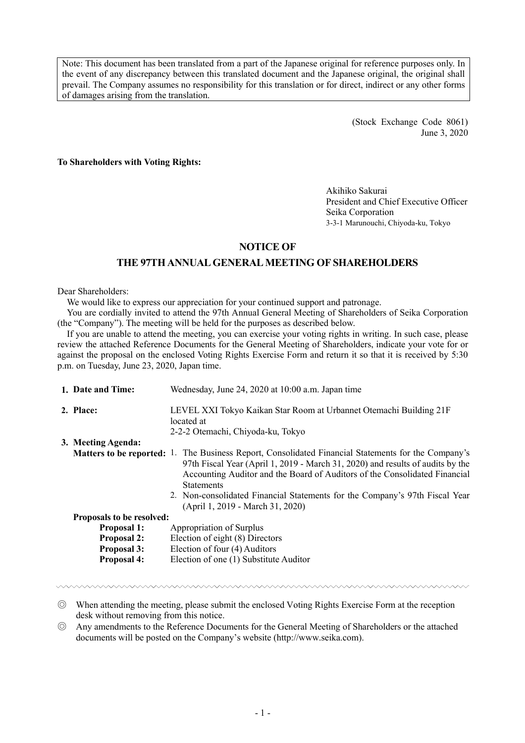Note: This document has been translated from a part of the Japanese original for reference purposes only. In the event of any discrepancy between this translated document and the Japanese original, the original shall prevail. The Company assumes no responsibility for this translation or for direct, indirect or any other forms of damages arising from the translation.

> (Stock Exchange Code 8061) June 3, 2020

**To Shareholders with Voting Rights:**

Akihiko Sakurai President and Chief Executive Officer Seika Corporation 3-3-1 Marunouchi, Chiyoda-ku, Tokyo

## **NOTICE OF**

## **THE 97TH ANNUAL GENERAL MEETING OF SHAREHOLDERS**

Dear Shareholders:

We would like to express our appreciation for your continued support and patronage.

You are cordially invited to attend the 97th Annual General Meeting of Shareholders of Seika Corporation (the "Company"). The meeting will be held for the purposes as described below.

If you are unable to attend the meeting, you can exercise your voting rights in writing. In such case, please review the attached Reference Documents for the General Meeting of Shareholders, indicate your vote for or against the proposal on the enclosed Voting Rights Exercise Form and return it so that it is received by 5:30 p.m. on Tuesday, June 23, 2020, Japan time.

| 1. Date and Time:         | Wednesday, June 24, 2020 at 10:00 a.m. Japan time                                                                                                                                                                                                                                                                                                                                                                  |
|---------------------------|--------------------------------------------------------------------------------------------------------------------------------------------------------------------------------------------------------------------------------------------------------------------------------------------------------------------------------------------------------------------------------------------------------------------|
| 2. Place:                 | LEVEL XXI Tokyo Kaikan Star Room at Urbannet Otemachi Building 21F<br>located at<br>2-2-2 Otemachi, Chiyoda-ku, Tokyo                                                                                                                                                                                                                                                                                              |
| 3. Meeting Agenda:        |                                                                                                                                                                                                                                                                                                                                                                                                                    |
|                           | <b>Matters to be reported:</b> 1. The Business Report, Consolidated Financial Statements for the Company's<br>97th Fiscal Year (April 1, 2019 - March 31, 2020) and results of audits by the<br>Accounting Auditor and the Board of Auditors of the Consolidated Financial<br><b>Statements</b><br>2. Non-consolidated Financial Statements for the Company's 97th Fiscal Year<br>(April 1, 2019 - March 31, 2020) |
| Proposals to be resolved: |                                                                                                                                                                                                                                                                                                                                                                                                                    |
| <b>Proposal 1:</b>        | Appropriation of Surplus                                                                                                                                                                                                                                                                                                                                                                                           |
| <b>Proposal 2:</b>        | Election of eight (8) Directors                                                                                                                                                                                                                                                                                                                                                                                    |
| <b>Proposal 3:</b>        | Election of four (4) Auditors                                                                                                                                                                                                                                                                                                                                                                                      |
| <b>Proposal 4:</b>        | Election of one (1) Substitute Auditor                                                                                                                                                                                                                                                                                                                                                                             |

◎ When attending the meeting, please submit the enclosed Voting Rights Exercise Form at the reception desk without removing from this notice.

◎ Any amendments to the Reference Documents for the General Meeting of Shareholders or the attached documents will be posted on the Company's website (http://www.seika.com).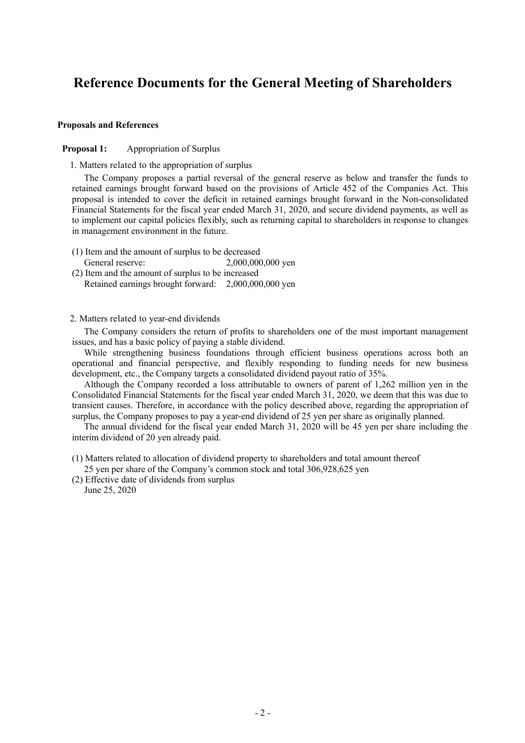# **Reference Documents for the General Meeting of Shareholders**

#### **Proposals and References**

#### **Proposal 1:** Appropriation of Surplus

1. Matters related to the appropriation of surplus

The Company proposes a partial reversal of the general reserve as below and transfer the funds to retained earnings brought forward based on the provisions of Article 452 of the Companies Act. This proposal is intended to cover the deficit in retained earnings brought forward in the Non-consolidated Financial Statements for the fiscal year ended March 31, 2020, and secure dividend payments, as well as to implement our capital policies flexibly, such as returning capital to shareholders in response to changes in management environment in the future.

- (1) Item and the amount of surplus to be decreased General reserve: 2,000,000,000 yen
- (2) Item and the amount of surplus to be increased Retained earnings brought forward: 2,000,000,000 yen

#### 2. Matters related to year-end dividends

The Company considers the return of profits to shareholders one of the most important management issues, and has a basic policy of paying a stable dividend.

While strengthening business foundations through efficient business operations across both an operational and financial perspective, and flexibly responding to funding needs for new business development, etc., the Company targets a consolidated dividend payout ratio of 35%.

Although the Company recorded a loss attributable to owners of parent of 1,262 million yen in the Consolidated Financial Statements for the fiscal year ended March 31, 2020, we deem that this was due to transient causes. Therefore, in accordance with the policy described above, regarding the appropriation of surplus, the Company proposes to pay a year-end dividend of 25 yen per share as originally planned.

The annual dividend for the fiscal year ended March 31, 2020 will be 45 yen per share including the interim dividend of 20 yen already paid.

(1) Matters related to allocation of dividend property to shareholders and total amount thereof 25 yen per share of the Company's common stock and total 306,928,625 yen

(2) Effective date of dividends from surplus

June 25, 2020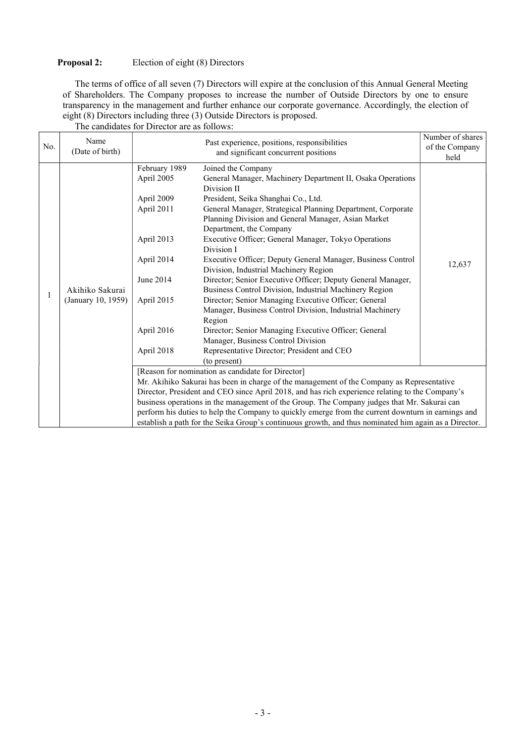## **Proposal 2:** Election of eight (8) Directors

The terms of office of all seven (7) Directors will expire at the conclusion of this Annual General Meeting of Shareholders. The Company proposes to increase the number of Outside Directors by one to ensure transparency in the management and further enhance our corporate governance. Accordingly, the election of eight (8) Directors including three (3) Outside Directors is proposed. The candidates for Director are as follows:

| No. | Name<br>(Date of birth)               |                                                                                                                                            | Number of shares<br>Past experience, positions, responsibilities<br>of the Company<br>and significant concurrent positions                                                                                                                                                                                                                                                                                                                                                                                                                                                                                                                                                                                                                                                                                                                                                               |        |
|-----|---------------------------------------|--------------------------------------------------------------------------------------------------------------------------------------------|------------------------------------------------------------------------------------------------------------------------------------------------------------------------------------------------------------------------------------------------------------------------------------------------------------------------------------------------------------------------------------------------------------------------------------------------------------------------------------------------------------------------------------------------------------------------------------------------------------------------------------------------------------------------------------------------------------------------------------------------------------------------------------------------------------------------------------------------------------------------------------------|--------|
|     | Akihiko Sakurai<br>(January 10, 1959) | February 1989<br>April 2005<br>April 2009<br>April 2011<br>April 2013<br>April 2014<br>June 2014<br>April 2015<br>April 2016<br>April 2018 | Joined the Company<br>General Manager, Machinery Department II, Osaka Operations<br>Division II<br>President, Seika Shanghai Co., Ltd.<br>General Manager, Strategical Planning Department, Corporate<br>Planning Division and General Manager, Asian Market<br>Department, the Company<br>Executive Officer; General Manager, Tokyo Operations<br>Division I<br>Executive Officer; Deputy General Manager, Business Control<br>Division, Industrial Machinery Region<br>Director; Senior Executive Officer; Deputy General Manager,<br>Business Control Division, Industrial Machinery Region<br>Director; Senior Managing Executive Officer; General<br>Manager, Business Control Division, Industrial Machinery<br>Region<br>Director; Senior Managing Executive Officer; General<br>Manager, Business Control Division<br>Representative Director; President and CEO<br>(to present) | 12,637 |
|     |                                       |                                                                                                                                            | [Reason for nomination as candidate for Director]                                                                                                                                                                                                                                                                                                                                                                                                                                                                                                                                                                                                                                                                                                                                                                                                                                        |        |
|     |                                       |                                                                                                                                            | Mr. Akihiko Sakurai has been in charge of the management of the Company as Representative<br>Director, President and CEO since April 2018, and has rich experience relating to the Company's                                                                                                                                                                                                                                                                                                                                                                                                                                                                                                                                                                                                                                                                                             |        |
|     |                                       |                                                                                                                                            | business operations in the management of the Group. The Company judges that Mr. Sakurai can                                                                                                                                                                                                                                                                                                                                                                                                                                                                                                                                                                                                                                                                                                                                                                                              |        |
|     |                                       |                                                                                                                                            | perform his duties to help the Company to quickly emerge from the current downturn in earnings and                                                                                                                                                                                                                                                                                                                                                                                                                                                                                                                                                                                                                                                                                                                                                                                       |        |
|     |                                       |                                                                                                                                            | establish a path for the Seika Group's continuous growth, and thus nominated him again as a Director.                                                                                                                                                                                                                                                                                                                                                                                                                                                                                                                                                                                                                                                                                                                                                                                    |        |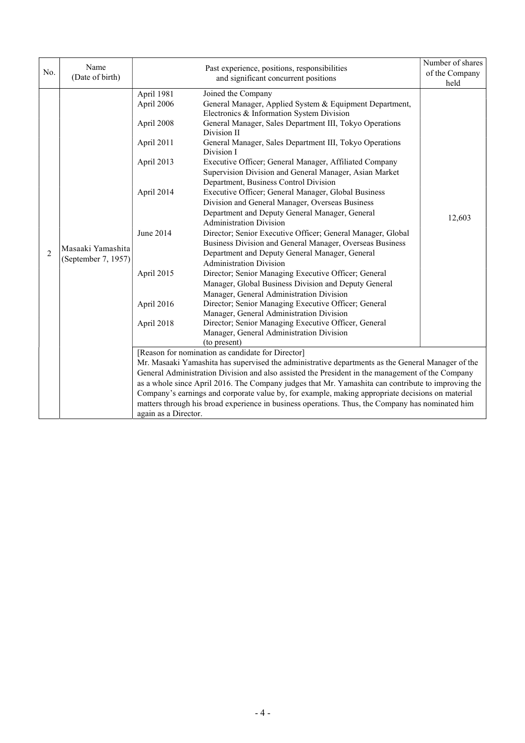|                | Name                                     |                      |                                                                                                    | Number of shares |
|----------------|------------------------------------------|----------------------|----------------------------------------------------------------------------------------------------|------------------|
| No.            | (Date of birth)                          |                      | Past experience, positions, responsibilities                                                       | of the Company   |
|                |                                          |                      | and significant concurrent positions                                                               | held             |
|                |                                          | April 1981           | Joined the Company                                                                                 |                  |
|                |                                          | April 2006           | General Manager, Applied System & Equipment Department,                                            |                  |
|                |                                          |                      | Electronics & Information System Division                                                          |                  |
|                |                                          | April 2008           | General Manager, Sales Department III, Tokyo Operations                                            |                  |
|                |                                          |                      | Division II                                                                                        |                  |
|                |                                          | April 2011           | General Manager, Sales Department III, Tokyo Operations                                            |                  |
|                |                                          |                      | Division I                                                                                         |                  |
|                |                                          | April 2013           | Executive Officer; General Manager, Affiliated Company                                             |                  |
|                |                                          |                      | Supervision Division and General Manager, Asian Market                                             |                  |
|                |                                          |                      | Department, Business Control Division                                                              |                  |
|                | Masaaki Yamashita<br>(September 7, 1957) | April 2014           | Executive Officer; General Manager, Global Business                                                |                  |
|                |                                          |                      | Division and General Manager, Overseas Business                                                    |                  |
|                |                                          |                      | Department and Deputy General Manager, General                                                     | 12,603           |
|                |                                          |                      | <b>Administration Division</b>                                                                     |                  |
|                |                                          | June 2014            | Director; Senior Executive Officer; General Manager, Global                                        |                  |
|                |                                          |                      | Business Division and General Manager, Overseas Business                                           |                  |
| $\overline{2}$ |                                          |                      | Department and Deputy General Manager, General                                                     |                  |
|                |                                          |                      | <b>Administration Division</b>                                                                     |                  |
|                |                                          | April 2015           | Director; Senior Managing Executive Officer; General                                               |                  |
|                |                                          |                      | Manager, Global Business Division and Deputy General                                               |                  |
|                |                                          |                      | Manager, General Administration Division                                                           |                  |
|                |                                          | April 2016           | Director; Senior Managing Executive Officer; General                                               |                  |
|                |                                          |                      | Manager, General Administration Division                                                           |                  |
|                |                                          | April 2018           | Director; Senior Managing Executive Officer, General                                               |                  |
|                |                                          |                      | Manager, General Administration Division                                                           |                  |
|                |                                          |                      | (to present)                                                                                       |                  |
|                |                                          |                      | [Reason for nomination as candidate for Director]                                                  |                  |
|                |                                          |                      | Mr. Masaaki Yamashita has supervised the administrative departments as the General Manager of the  |                  |
|                |                                          |                      | General Administration Division and also assisted the President in the management of the Company   |                  |
|                |                                          |                      | as a whole since April 2016. The Company judges that Mr. Yamashita can contribute to improving the |                  |
|                |                                          |                      | Company's earnings and corporate value by, for example, making appropriate decisions on material   |                  |
|                |                                          |                      | matters through his broad experience in business operations. Thus, the Company has nominated him   |                  |
|                |                                          | again as a Director. |                                                                                                    |                  |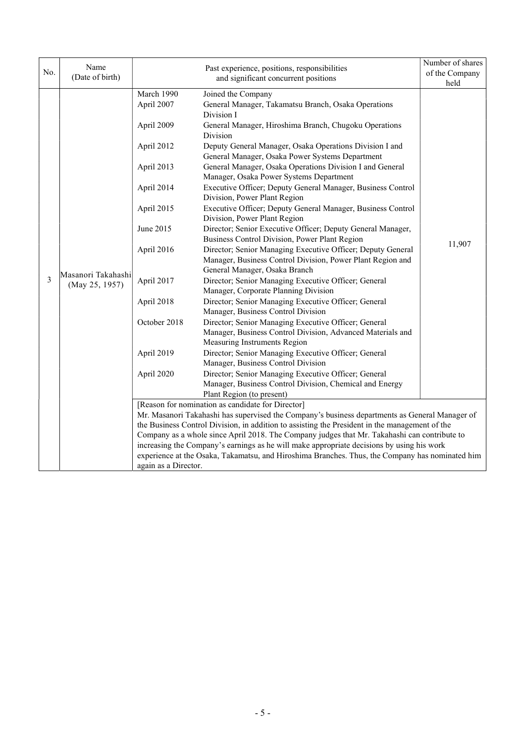| No. | Name<br>(Date of birth)              |                                                                                                                                                                                                   | Past experience, positions, responsibilities<br>and significant concurrent positions                                                                                                                                                                                                                                                                                                                                                                                                                                                                                                                                                                                                                                                                                                                                                                                                                                                                                                                                                                                                                                                                                                                                                                                                                                                                                                                                               | Number of shares<br>of the Company |
|-----|--------------------------------------|---------------------------------------------------------------------------------------------------------------------------------------------------------------------------------------------------|------------------------------------------------------------------------------------------------------------------------------------------------------------------------------------------------------------------------------------------------------------------------------------------------------------------------------------------------------------------------------------------------------------------------------------------------------------------------------------------------------------------------------------------------------------------------------------------------------------------------------------------------------------------------------------------------------------------------------------------------------------------------------------------------------------------------------------------------------------------------------------------------------------------------------------------------------------------------------------------------------------------------------------------------------------------------------------------------------------------------------------------------------------------------------------------------------------------------------------------------------------------------------------------------------------------------------------------------------------------------------------------------------------------------------------|------------------------------------|
| 3   | Masanori Takahashi<br>(May 25, 1957) | March 1990<br>April 2007<br>April 2009<br>April 2012<br>April 2013<br>April 2014<br>April 2015<br>June 2015<br>April 2016<br>April 2017<br>April 2018<br>October 2018<br>April 2019<br>April 2020 | Joined the Company<br>General Manager, Takamatsu Branch, Osaka Operations<br>Division I<br>General Manager, Hiroshima Branch, Chugoku Operations<br>Division<br>Deputy General Manager, Osaka Operations Division I and<br>General Manager, Osaka Power Systems Department<br>General Manager, Osaka Operations Division I and General<br>Manager, Osaka Power Systems Department<br>Executive Officer; Deputy General Manager, Business Control<br>Division, Power Plant Region<br>Executive Officer; Deputy General Manager, Business Control<br>Division, Power Plant Region<br>Director; Senior Executive Officer; Deputy General Manager,<br>Business Control Division, Power Plant Region<br>Director; Senior Managing Executive Officer; Deputy General<br>Manager, Business Control Division, Power Plant Region and<br>General Manager, Osaka Branch<br>Director; Senior Managing Executive Officer; General<br>Manager, Corporate Planning Division<br>Director; Senior Managing Executive Officer; General<br>Manager, Business Control Division<br>Director; Senior Managing Executive Officer; General<br>Manager, Business Control Division, Advanced Materials and<br>Measuring Instruments Region<br>Director; Senior Managing Executive Officer; General<br>Manager, Business Control Division<br>Director; Senior Managing Executive Officer; General<br>Manager, Business Control Division, Chemical and Energy | held<br>11,907                     |
|     |                                      | again as a Director.                                                                                                                                                                              | Plant Region (to present)<br>[Reason for nomination as candidate for Director]<br>Mr. Masanori Takahashi has supervised the Company's business departments as General Manager of<br>the Business Control Division, in addition to assisting the President in the management of the<br>Company as a whole since April 2018. The Company judges that Mr. Takahashi can contribute to<br>increasing the Company's earnings as he will make appropriate decisions by using his work<br>experience at the Osaka, Takamatsu, and Hiroshima Branches. Thus, the Company has nominated him                                                                                                                                                                                                                                                                                                                                                                                                                                                                                                                                                                                                                                                                                                                                                                                                                                                 |                                    |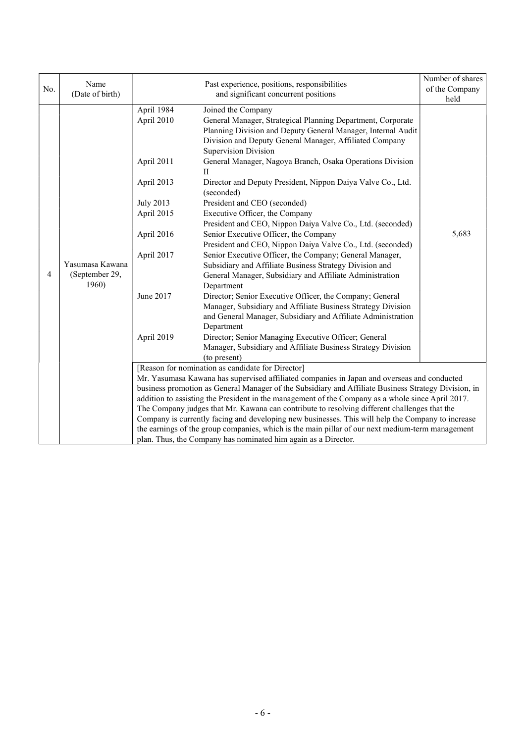|     |                                            |                                      |                                                                                                      | Number of shares |
|-----|--------------------------------------------|--------------------------------------|------------------------------------------------------------------------------------------------------|------------------|
| No. | Name                                       |                                      | Past experience, positions, responsibilities                                                         | of the Company   |
|     | (Date of birth)                            | and significant concurrent positions |                                                                                                      | held             |
|     |                                            | April 1984                           | Joined the Company                                                                                   |                  |
|     |                                            | April 2010                           | General Manager, Strategical Planning Department, Corporate                                          |                  |
|     |                                            |                                      | Planning Division and Deputy General Manager, Internal Audit                                         |                  |
|     |                                            |                                      | Division and Deputy General Manager, Affiliated Company                                              |                  |
|     |                                            |                                      | <b>Supervision Division</b>                                                                          |                  |
|     |                                            | April 2011                           | General Manager, Nagoya Branch, Osaka Operations Division                                            |                  |
|     |                                            |                                      | $\mathbf{I}$                                                                                         |                  |
|     |                                            | April 2013                           | Director and Deputy President, Nippon Daiya Valve Co., Ltd.                                          |                  |
|     |                                            |                                      | (seconded)                                                                                           |                  |
|     |                                            | <b>July 2013</b>                     | President and CEO (seconded)                                                                         |                  |
|     | Yasumasa Kawana<br>(September 29,<br>1960) | April 2015                           | Executive Officer, the Company                                                                       |                  |
|     |                                            |                                      | President and CEO, Nippon Daiya Valve Co., Ltd. (seconded)                                           |                  |
|     |                                            | April 2016                           | Senior Executive Officer, the Company                                                                | 5,683            |
|     |                                            |                                      | President and CEO, Nippon Daiya Valve Co., Ltd. (seconded)                                           |                  |
|     |                                            | April 2017                           | Senior Executive Officer, the Company; General Manager,                                              |                  |
|     |                                            |                                      | Subsidiary and Affiliate Business Strategy Division and                                              |                  |
| 4   |                                            |                                      | General Manager, Subsidiary and Affiliate Administration                                             |                  |
|     |                                            |                                      | Department                                                                                           |                  |
|     |                                            | June 2017                            | Director; Senior Executive Officer, the Company; General                                             |                  |
|     |                                            |                                      | Manager, Subsidiary and Affiliate Business Strategy Division                                         |                  |
|     |                                            |                                      | and General Manager, Subsidiary and Affiliate Administration                                         |                  |
|     |                                            |                                      | Department                                                                                           |                  |
|     |                                            | April 2019                           | Director; Senior Managing Executive Officer; General                                                 |                  |
|     |                                            |                                      | Manager, Subsidiary and Affiliate Business Strategy Division<br>(to present)                         |                  |
|     |                                            |                                      | [Reason for nomination as candidate for Director]                                                    |                  |
|     |                                            |                                      | Mr. Yasumasa Kawana has supervised affiliated companies in Japan and overseas and conducted          |                  |
|     |                                            |                                      | business promotion as General Manager of the Subsidiary and Affiliate Business Strategy Division, in |                  |
|     |                                            |                                      | addition to assisting the President in the management of the Company as a whole since April 2017.    |                  |
|     |                                            |                                      | The Company judges that Mr. Kawana can contribute to resolving different challenges that the         |                  |
|     |                                            |                                      | Company is currently facing and developing new businesses. This will help the Company to increase    |                  |
|     |                                            |                                      | the earnings of the group companies, which is the main pillar of our next medium-term management     |                  |
|     |                                            |                                      | plan. Thus, the Company has nominated him again as a Director.                                       |                  |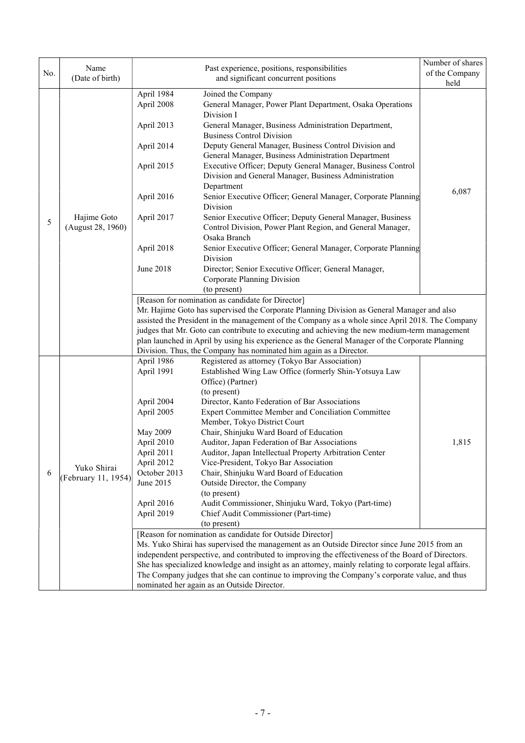|     |                         |                                                                                                                                                                                                  |                                                                                                                      | Number of shares |  |  |
|-----|-------------------------|--------------------------------------------------------------------------------------------------------------------------------------------------------------------------------------------------|----------------------------------------------------------------------------------------------------------------------|------------------|--|--|
| No. | Name<br>(Date of birth) |                                                                                                                                                                                                  | Past experience, positions, responsibilities                                                                         | of the Company   |  |  |
|     |                         |                                                                                                                                                                                                  | and significant concurrent positions                                                                                 |                  |  |  |
|     |                         | April 1984                                                                                                                                                                                       | Joined the Company                                                                                                   |                  |  |  |
|     |                         | April 2008                                                                                                                                                                                       | General Manager, Power Plant Department, Osaka Operations                                                            |                  |  |  |
|     |                         |                                                                                                                                                                                                  | Division I                                                                                                           |                  |  |  |
|     |                         | April 2013                                                                                                                                                                                       | General Manager, Business Administration Department,                                                                 |                  |  |  |
|     |                         |                                                                                                                                                                                                  | <b>Business Control Division</b>                                                                                     |                  |  |  |
|     |                         | April 2014                                                                                                                                                                                       | Deputy General Manager, Business Control Division and                                                                |                  |  |  |
|     |                         |                                                                                                                                                                                                  | General Manager, Business Administration Department                                                                  |                  |  |  |
|     |                         | April 2015                                                                                                                                                                                       | Executive Officer; Deputy General Manager, Business Control<br>Division and General Manager, Business Administration |                  |  |  |
|     |                         |                                                                                                                                                                                                  | Department                                                                                                           |                  |  |  |
|     |                         | April 2016                                                                                                                                                                                       | Senior Executive Officer; General Manager, Corporate Planning                                                        | 6,087            |  |  |
|     |                         |                                                                                                                                                                                                  | Division                                                                                                             |                  |  |  |
|     | Hajime Goto             | April 2017                                                                                                                                                                                       | Senior Executive Officer; Deputy General Manager, Business                                                           |                  |  |  |
| 5   | (August 28, 1960)       |                                                                                                                                                                                                  | Control Division, Power Plant Region, and General Manager,                                                           |                  |  |  |
|     |                         |                                                                                                                                                                                                  | Osaka Branch                                                                                                         |                  |  |  |
|     |                         | April 2018                                                                                                                                                                                       | Senior Executive Officer; General Manager, Corporate Planning                                                        |                  |  |  |
|     |                         |                                                                                                                                                                                                  | <b>Division</b>                                                                                                      |                  |  |  |
|     |                         | June 2018                                                                                                                                                                                        | Director; Senior Executive Officer; General Manager,                                                                 |                  |  |  |
|     |                         |                                                                                                                                                                                                  | Corporate Planning Division                                                                                          |                  |  |  |
|     |                         |                                                                                                                                                                                                  | (to present)                                                                                                         |                  |  |  |
|     |                         | [Reason for nomination as candidate for Director]                                                                                                                                                |                                                                                                                      |                  |  |  |
|     |                         |                                                                                                                                                                                                  | Mr. Hajime Goto has supervised the Corporate Planning Division as General Manager and also                           |                  |  |  |
|     |                         |                                                                                                                                                                                                  | assisted the President in the management of the Company as a whole since April 2018. The Company                     |                  |  |  |
|     |                         | judges that Mr. Goto can contribute to executing and achieving the new medium-term management<br>plan launched in April by using his experience as the General Manager of the Corporate Planning |                                                                                                                      |                  |  |  |
|     |                         |                                                                                                                                                                                                  | Division. Thus, the Company has nominated him again as a Director.                                                   |                  |  |  |
|     |                         | April 1986                                                                                                                                                                                       | Registered as attorney (Tokyo Bar Association)                                                                       |                  |  |  |
|     |                         | April 1991                                                                                                                                                                                       | Established Wing Law Office (formerly Shin-Yotsuya Law                                                               |                  |  |  |
|     |                         |                                                                                                                                                                                                  | Office) (Partner)                                                                                                    |                  |  |  |
|     |                         |                                                                                                                                                                                                  | (to present)                                                                                                         |                  |  |  |
|     |                         | April 2004                                                                                                                                                                                       | Director, Kanto Federation of Bar Associations                                                                       |                  |  |  |
|     |                         | April 2005                                                                                                                                                                                       | Expert Committee Member and Conciliation Committee                                                                   |                  |  |  |
|     |                         |                                                                                                                                                                                                  | Member, Tokyo District Court                                                                                         |                  |  |  |
|     |                         | May 2009                                                                                                                                                                                         | Chair, Shinjuku Ward Board of Education                                                                              |                  |  |  |
|     |                         | April 2010                                                                                                                                                                                       | Auditor, Japan Federation of Bar Associations                                                                        | 1,815            |  |  |
|     |                         | April 2011                                                                                                                                                                                       | Auditor, Japan Intellectual Property Arbitration Center                                                              |                  |  |  |
|     | Yuko Shirai             | April 2012                                                                                                                                                                                       | Vice-President, Tokyo Bar Association                                                                                |                  |  |  |
| 6   | (February 11, 1954)     | October 2013                                                                                                                                                                                     | Chair, Shinjuku Ward Board of Education                                                                              |                  |  |  |
|     |                         | June 2015                                                                                                                                                                                        | Outside Director, the Company                                                                                        |                  |  |  |
|     |                         | April 2016                                                                                                                                                                                       | (to present)<br>Audit Commissioner, Shinjuku Ward, Tokyo (Part-time)                                                 |                  |  |  |
|     |                         | April 2019                                                                                                                                                                                       | Chief Audit Commissioner (Part-time)                                                                                 |                  |  |  |
|     |                         |                                                                                                                                                                                                  | (to present)                                                                                                         |                  |  |  |
|     |                         |                                                                                                                                                                                                  | [Reason for nomination as candidate for Outside Director]                                                            |                  |  |  |
|     |                         |                                                                                                                                                                                                  | Ms. Yuko Shirai has supervised the management as an Outside Director since June 2015 from an                         |                  |  |  |
|     |                         |                                                                                                                                                                                                  | independent perspective, and contributed to improving the effectiveness of the Board of Directors.                   |                  |  |  |
|     |                         |                                                                                                                                                                                                  | She has specialized knowledge and insight as an attorney, mainly relating to corporate legal affairs.                |                  |  |  |
|     |                         |                                                                                                                                                                                                  | The Company judges that she can continue to improving the Company's corporate value, and thus                        |                  |  |  |
|     |                         |                                                                                                                                                                                                  | nominated her again as an Outside Director.                                                                          |                  |  |  |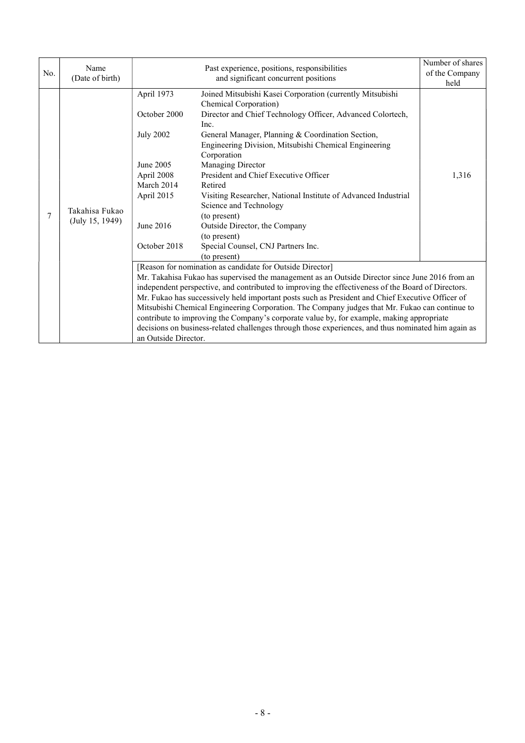| No. | Name<br>(Date of birth)           |                                                                                                                                    | Past experience, positions, responsibilities<br>and significant concurrent positions                                                                                                                                                                                                                                                                                                                                                                                                                                                                                                                                                                                         | Number of shares<br>of the Company<br>held |
|-----|-----------------------------------|------------------------------------------------------------------------------------------------------------------------------------|------------------------------------------------------------------------------------------------------------------------------------------------------------------------------------------------------------------------------------------------------------------------------------------------------------------------------------------------------------------------------------------------------------------------------------------------------------------------------------------------------------------------------------------------------------------------------------------------------------------------------------------------------------------------------|--------------------------------------------|
| 7   | Takahisa Fukao<br>(July 15, 1949) | April 1973<br>October 2000<br><b>July 2002</b><br>June 2005<br>April 2008<br>March 2014<br>April 2015<br>June 2016<br>October 2018 | Joined Mitsubishi Kasei Corporation (currently Mitsubishi<br>Chemical Corporation)<br>Director and Chief Technology Officer, Advanced Colortech,<br>Inc.<br>General Manager, Planning & Coordination Section,<br>Engineering Division, Mitsubishi Chemical Engineering<br>Corporation<br>Managing Director<br>President and Chief Executive Officer<br>Retired<br>Visiting Researcher, National Institute of Advanced Industrial<br>Science and Technology<br>(to present)<br>Outside Director, the Company<br>(to present)<br>Special Counsel, CNJ Partners Inc.<br>(to present)                                                                                            | 1,316                                      |
|     |                                   | an Outside Director.                                                                                                               | [Reason for nomination as candidate for Outside Director]<br>Mr. Takahisa Fukao has supervised the management as an Outside Director since June 2016 from an<br>independent perspective, and contributed to improving the effectiveness of the Board of Directors.<br>Mr. Fukao has successively held important posts such as President and Chief Executive Officer of<br>Mitsubishi Chemical Engineering Corporation. The Company judges that Mr. Fukao can continue to<br>contribute to improving the Company's corporate value by, for example, making appropriate<br>decisions on business-related challenges through those experiences, and thus nominated him again as |                                            |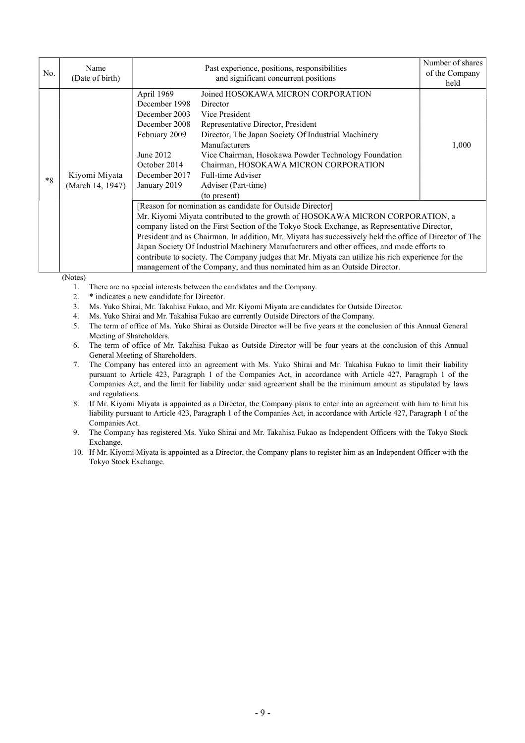| No.  | Name<br>(Date of birth)           |                                                                                                                                              | Past experience, positions, responsibilities<br>and significant concurrent positions                                                                                                                                                                                                                                                                                                                                                                                                                                                                                                                                                 | Number of shares<br>of the Company<br>held |
|------|-----------------------------------|----------------------------------------------------------------------------------------------------------------------------------------------|--------------------------------------------------------------------------------------------------------------------------------------------------------------------------------------------------------------------------------------------------------------------------------------------------------------------------------------------------------------------------------------------------------------------------------------------------------------------------------------------------------------------------------------------------------------------------------------------------------------------------------------|--------------------------------------------|
| $*8$ | Kiyomi Miyata<br>(March 14, 1947) | April 1969<br>December 1998<br>December 2003<br>December 2008<br>February 2009<br>June 2012<br>October 2014<br>December 2017<br>January 2019 | Joined HOSOKAWA MICRON CORPORATION<br>Director<br>Vice President<br>Representative Director, President<br>Director, The Japan Society Of Industrial Machinery<br>Manufacturers<br>Vice Chairman, Hosokawa Powder Technology Foundation<br>Chairman, HOSOKAWA MICRON CORPORATION<br>Full-time Adviser<br>Adviser (Part-time)<br>(to present)                                                                                                                                                                                                                                                                                          | 1,000                                      |
|      |                                   |                                                                                                                                              | [Reason for nomination as candidate for Outside Director]<br>Mr. Kiyomi Miyata contributed to the growth of HOSOKAWA MICRON CORPORATION, a<br>company listed on the First Section of the Tokyo Stock Exchange, as Representative Director,<br>President and as Chairman. In addition, Mr. Miyata has successively held the office of Director of The<br>Japan Society Of Industrial Machinery Manufacturers and other offices, and made efforts to<br>contribute to society. The Company judges that Mr. Miyata can utilize his rich experience for the<br>management of the Company, and thus nominated him as an Outside Director. |                                            |

(Notes)

- 1. There are no special interests between the candidates and the Company.
- 2. \* indicates a new candidate for Director.
- 3. Ms. Yuko Shirai, Mr. Takahisa Fukao, and Mr. Kiyomi Miyata are candidates for Outside Director.
- 4. Ms. Yuko Shirai and Mr. Takahisa Fukao are currently Outside Directors of the Company.
- 5. The term of office of Ms. Yuko Shirai as Outside Director will be five years at the conclusion of this Annual General Meeting of Shareholders.
- 6. The term of office of Mr. Takahisa Fukao as Outside Director will be four years at the conclusion of this Annual General Meeting of Shareholders.
- 7. The Company has entered into an agreement with Ms. Yuko Shirai and Mr. Takahisa Fukao to limit their liability pursuant to Article 423, Paragraph 1 of the Companies Act, in accordance with Article 427, Paragraph 1 of the Companies Act, and the limit for liability under said agreement shall be the minimum amount as stipulated by laws and regulations.
- 8. If Mr. Kiyomi Miyata is appointed as a Director, the Company plans to enter into an agreement with him to limit his liability pursuant to Article 423, Paragraph 1 of the Companies Act, in accordance with Article 427, Paragraph 1 of the Companies Act.
- 9. The Company has registered Ms. Yuko Shirai and Mr. Takahisa Fukao as Independent Officers with the Tokyo Stock Exchange.
- 10. If Mr. Kiyomi Miyata is appointed as a Director, the Company plans to register him as an Independent Officer with the Tokyo Stock Exchange.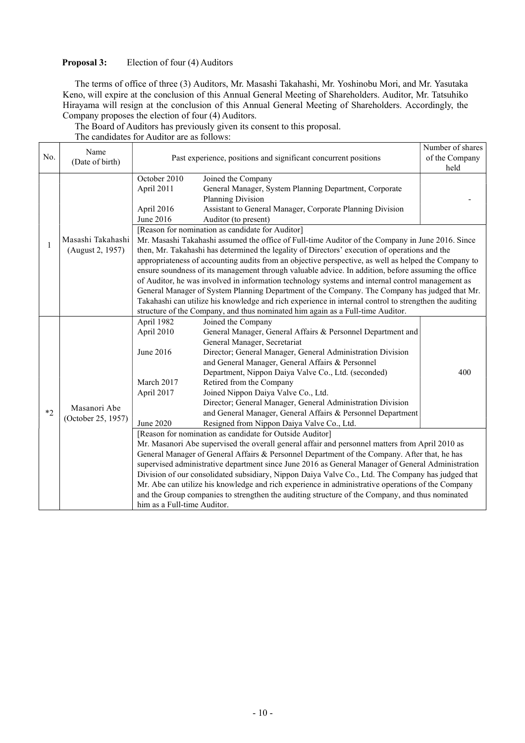## **Proposal 3:** Election of four (4) Auditors

The terms of office of three (3) Auditors, Mr. Masashi Takahashi, Mr. Yoshinobu Mori, and Mr. Yasutaka Keno, will expire at the conclusion of this Annual General Meeting of Shareholders. Auditor, Mr. Tatsuhiko Hirayama will resign at the conclusion of this Annual General Meeting of Shareholders. Accordingly, the Company proposes the election of four (4) Auditors.

The Board of Auditors has previously given its consent to this proposal.

| The candidates for Auditor are as follows: |  |  |
|--------------------------------------------|--|--|
|                                            |  |  |

|      | Name                                                                               |                             |                                                                                                        | Number of shares |  |  |
|------|------------------------------------------------------------------------------------|-----------------------------|--------------------------------------------------------------------------------------------------------|------------------|--|--|
| No.  | Past experience, positions and significant concurrent positions<br>(Date of birth) |                             | of the Company                                                                                         |                  |  |  |
|      |                                                                                    |                             | Joined the Company                                                                                     |                  |  |  |
|      |                                                                                    | October 2010                |                                                                                                        |                  |  |  |
|      |                                                                                    | April 2011                  | General Manager, System Planning Department, Corporate                                                 |                  |  |  |
|      |                                                                                    |                             | Planning Division                                                                                      |                  |  |  |
|      |                                                                                    | April 2016                  | Assistant to General Manager, Corporate Planning Division                                              |                  |  |  |
|      |                                                                                    | June 2016                   | Auditor (to present)                                                                                   |                  |  |  |
|      |                                                                                    |                             | [Reason for nomination as candidate for Auditor]                                                       |                  |  |  |
| 1    | Masashi Takahashi                                                                  |                             | Mr. Masashi Takahashi assumed the office of Full-time Auditor of the Company in June 2016. Since       |                  |  |  |
|      | (August 2, 1957)                                                                   |                             | then, Mr. Takahashi has determined the legality of Directors' execution of operations and the          |                  |  |  |
|      |                                                                                    |                             | appropriateness of accounting audits from an objective perspective, as well as helped the Company to   |                  |  |  |
|      |                                                                                    |                             | ensure soundness of its management through valuable advice. In addition, before assuming the office    |                  |  |  |
|      |                                                                                    |                             | of Auditor, he was involved in information technology systems and internal control management as       |                  |  |  |
|      |                                                                                    |                             | General Manager of System Planning Department of the Company. The Company has judged that Mr.          |                  |  |  |
|      |                                                                                    |                             | Takahashi can utilize his knowledge and rich experience in internal control to strengthen the auditing |                  |  |  |
|      |                                                                                    |                             | structure of the Company, and thus nominated him again as a Full-time Auditor.                         |                  |  |  |
|      |                                                                                    | April 1982                  | Joined the Company                                                                                     |                  |  |  |
|      |                                                                                    | April 2010                  | General Manager, General Affairs & Personnel Department and                                            |                  |  |  |
|      |                                                                                    |                             | General Manager, Secretariat                                                                           |                  |  |  |
|      |                                                                                    | June 2016                   | Director; General Manager, General Administration Division                                             |                  |  |  |
|      |                                                                                    |                             | and General Manager, General Affairs & Personnel                                                       |                  |  |  |
|      |                                                                                    |                             | Department, Nippon Daiya Valve Co., Ltd. (seconded)                                                    | 400              |  |  |
|      |                                                                                    | March 2017                  | Retired from the Company                                                                               |                  |  |  |
|      |                                                                                    | April 2017                  | Joined Nippon Daiya Valve Co., Ltd.                                                                    |                  |  |  |
|      | Masanori Abe                                                                       |                             | Director; General Manager, General Administration Division                                             |                  |  |  |
| $*2$ | (October 25, 1957)                                                                 |                             | and General Manager, General Affairs & Personnel Department                                            |                  |  |  |
|      |                                                                                    | June 2020                   | Resigned from Nippon Daiya Valve Co., Ltd.                                                             |                  |  |  |
|      |                                                                                    |                             | [Reason for nomination as candidate for Outside Auditor]                                               |                  |  |  |
|      |                                                                                    |                             | Mr. Masanori Abe supervised the overall general affair and personnel matters from April 2010 as        |                  |  |  |
|      |                                                                                    |                             | General Manager of General Affairs & Personnel Department of the Company. After that, he has           |                  |  |  |
|      |                                                                                    |                             | supervised administrative department since June 2016 as General Manager of General Administration      |                  |  |  |
|      |                                                                                    |                             | Division of our consolidated subsidiary, Nippon Daiya Valve Co., Ltd. The Company has judged that      |                  |  |  |
|      |                                                                                    |                             | Mr. Abe can utilize his knowledge and rich experience in administrative operations of the Company      |                  |  |  |
|      |                                                                                    |                             | and the Group companies to strengthen the auditing structure of the Company, and thus nominated        |                  |  |  |
|      |                                                                                    | him as a Full-time Auditor. |                                                                                                        |                  |  |  |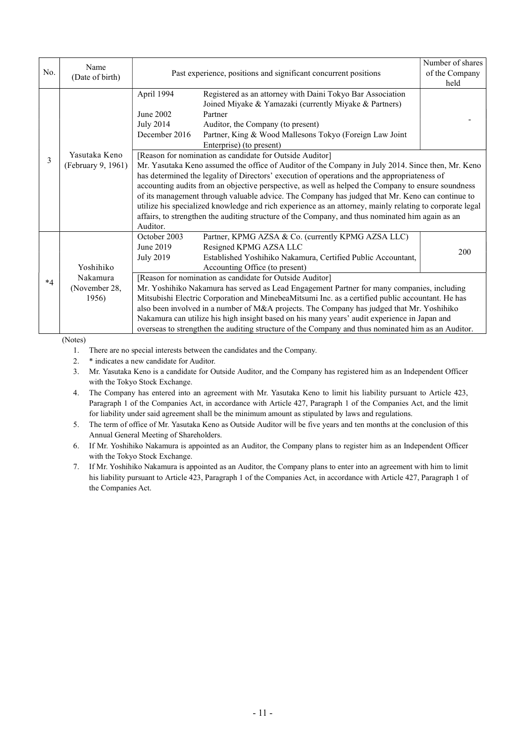| No.            | Name<br>(Date of birth)             |                                                                                                                                                                                                                                                                                                                                                                                                                                                                                                                                                                                                                                                                                                    | Past experience, positions and significant concurrent positions                                                                                                                                                                                                                                                                                                                                                                                                                                                                                               |      |
|----------------|-------------------------------------|----------------------------------------------------------------------------------------------------------------------------------------------------------------------------------------------------------------------------------------------------------------------------------------------------------------------------------------------------------------------------------------------------------------------------------------------------------------------------------------------------------------------------------------------------------------------------------------------------------------------------------------------------------------------------------------------------|---------------------------------------------------------------------------------------------------------------------------------------------------------------------------------------------------------------------------------------------------------------------------------------------------------------------------------------------------------------------------------------------------------------------------------------------------------------------------------------------------------------------------------------------------------------|------|
|                |                                     | April 1994<br>June 2002<br><b>July 2014</b><br>December 2016                                                                                                                                                                                                                                                                                                                                                                                                                                                                                                                                                                                                                                       | Registered as an attorney with Daini Tokyo Bar Association<br>Joined Miyake & Yamazaki (currently Miyake & Partners)<br>Partner<br>Auditor, the Company (to present)<br>Partner, King & Wood Mallesons Tokyo (Foreign Law Joint<br>Enterprise) (to present)                                                                                                                                                                                                                                                                                                   | held |
| $\overline{3}$ | Yasutaka Keno<br>(February 9, 1961) | [Reason for nomination as candidate for Outside Auditor]<br>Mr. Yasutaka Keno assumed the office of Auditor of the Company in July 2014. Since then, Mr. Keno<br>has determined the legality of Directors' execution of operations and the appropriateness of<br>accounting audits from an objective perspective, as well as helped the Company to ensure soundness<br>of its management through valuable advice. The Company has judged that Mr. Keno can continue to<br>utilize his specialized knowledge and rich experience as an attorney, mainly relating to corporate legal<br>affairs, to strengthen the auditing structure of the Company, and thus nominated him again as an<br>Auditor. |                                                                                                                                                                                                                                                                                                                                                                                                                                                                                                                                                               |      |
|                | Yoshihiko                           | October 2003<br>June 2019<br><b>July 2019</b>                                                                                                                                                                                                                                                                                                                                                                                                                                                                                                                                                                                                                                                      | Partner, KPMG AZSA & Co. (currently KPMG AZSA LLC)<br>Resigned KPMG AZSA LLC<br>Established Yoshihiko Nakamura, Certified Public Accountant,<br>Accounting Office (to present)                                                                                                                                                                                                                                                                                                                                                                                | 200  |
| $*4$           | Nakamura<br>(November 28,<br>1956)  |                                                                                                                                                                                                                                                                                                                                                                                                                                                                                                                                                                                                                                                                                                    | [Reason for nomination as candidate for Outside Auditor]<br>Mr. Yoshihiko Nakamura has served as Lead Engagement Partner for many companies, including<br>Mitsubishi Electric Corporation and MinebeaMitsumi Inc. as a certified public accountant. He has<br>also been involved in a number of M&A projects. The Company has judged that Mr. Yoshihiko<br>Nakamura can utilize his high insight based on his many years' audit experience in Japan and<br>overseas to strengthen the auditing structure of the Company and thus nominated him as an Auditor. |      |

(Notes)

1. There are no special interests between the candidates and the Company.

2. \* indicates a new candidate for Auditor.

3. Mr. Yasutaka Keno is a candidate for Outside Auditor, and the Company has registered him as an Independent Officer with the Tokyo Stock Exchange.

- 4. The Company has entered into an agreement with Mr. Yasutaka Keno to limit his liability pursuant to Article 423, Paragraph 1 of the Companies Act, in accordance with Article 427, Paragraph 1 of the Companies Act, and the limit for liability under said agreement shall be the minimum amount as stipulated by laws and regulations.
- 5. The term of office of Mr. Yasutaka Keno as Outside Auditor will be five years and ten months at the conclusion of this Annual General Meeting of Shareholders.
- 6. If Mr. Yoshihiko Nakamura is appointed as an Auditor, the Company plans to register him as an Independent Officer with the Tokyo Stock Exchange.
- 7. If Mr. Yoshihiko Nakamura is appointed as an Auditor, the Company plans to enter into an agreement with him to limit his liability pursuant to Article 423, Paragraph 1 of the Companies Act, in accordance with Article 427, Paragraph 1 of the Companies Act.